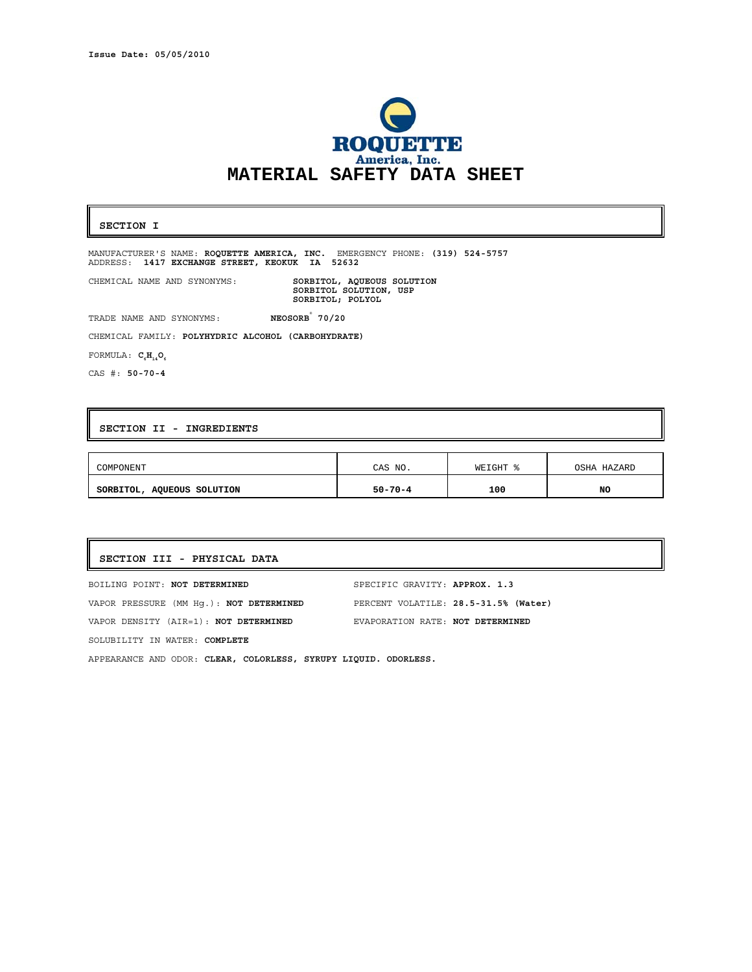

## **SECTION I**

MANUFACTURER'S NAME: **ROQUETTE AMERICA, INC.** EMERGENCY PHONE: **(319) 524-5757** ADDRESS: **1417 EXCHANGE STREET, KEOKUK IA 52632** 

SORBITOL, AQUEOUS SOLUTION<br>SORBITOL SOLUTION, USP **SORBITOL; POLYOL** 

 TRADE NAME AND SYNONYMS: **NEOSORB® 70/20** 

CHEMICAL FAMILY: **POLYHYDRIC ALCOHOL (CARBOHYDRATE)** 

FORMULA:  $C_6H_{14}O_6$ 

CAS #: **50-70-4**

## **SECTION II - INGREDIENTS**

CHEMICAL NAME AND SYNONYMS:

| COMPONENT                  | CAS NO.       | WEIGHT | OSHA<br>HAZARD |
|----------------------------|---------------|--------|----------------|
| SORBITOL, AQUEOUS SOLUTION | $50 - 70 - 4$ | 100    | <b>NO</b>      |

# **SECTION III - PHYSICAL DATA**

BOILING POINT: **NOT DETERMINED** SPECIFIC GRAVITY: **APPROX. 1.3** VAPOR PRESSURE (MM Hg.): **NOT DETERMINED** PERCENT VOLATILE: **28.5-31.5% (Water)**  VAPOR DENSITY (AIR=1): **NOT DETERMINED** EVAPORATION RATE: **NOT DETERMINED** SOLUBILITY IN WATER: **COMPLETE**  APPEARANCE AND ODOR: **CLEAR, COLORLESS, SYRUPY LIQUID. ODORLESS.**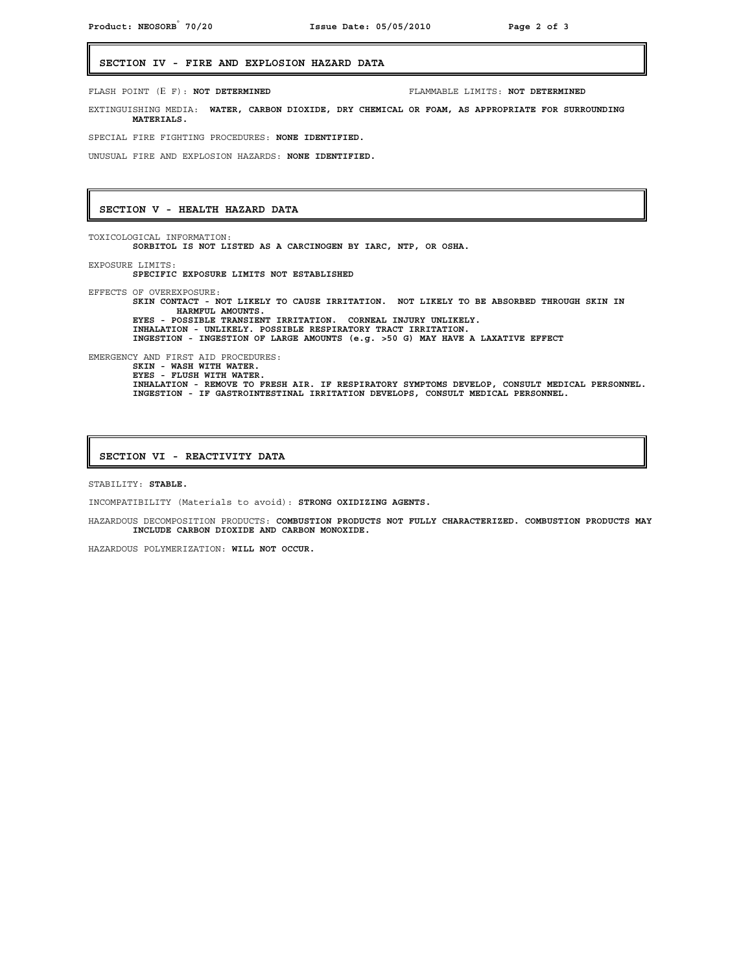## **SECTION IV - FIRE AND EXPLOSION HAZARD DATA**

Ξ FLASH POINT (Ε F): **NOT DETERMINED** FLAMMABLE LIMITS: **NOT DETERMINED** EXTINGUISHING MEDIA: **WATER, CARBON DIOXIDE, DRY CHEMICAL OR FOAM, AS APPROPRIATE FOR SURROUNDING MATERIALS.** SPECIAL FIRE FIGHTING PROCEDURES: **NONE IDENTIFIED.**  UNUSUAL FIRE AND EXPLOSION HAZARDS: **NONE IDENTIFIED. SECTION V - HEALTH HAZARD DATA** TOXICOLOGICAL INFORMATION: **SORBITOL IS NOT LISTED AS A CARCINOGEN BY IARC, NTP, OR OSHA.** EXPOSURE LIMITS: **SPECIFIC EXPOSURE LIMITS NOT ESTABLISHED**  EFFECTS OF OVEREXPOSURE: **SKIN CONTACT - NOT LIKELY TO CAUSE IRRITATION. NOT LIKELY TO BE ABSORBED THROUGH SKIN IN** 

**HARMFUL AMOUNTS. EYES - POSSIBLE TRANSIENT IRRITATION. CORNEAL INJURY UNLIKELY. INHALATION - UNLIKELY. POSSIBLE RESPIRATORY TRACT IRRITATION. INGESTION - INGESTION OF LARGE AMOUNTS (e.g. >50 G) MAY HAVE A LAXATIVE EFFECT**  EMERGENCY AND FIRST AID PROCEDURES: **SKIN - WASH WITH WATER. EYES - FLUSH WITH WATER. INHALATION - REMOVE TO FRESH AIR. IF RESPIRATORY SYMPTOMS DEVELOP, CONSULT MEDICAL PERSONNEL. INGESTION - IF GASTROINTESTINAL IRRITATION DEVELOPS, CONSULT MEDICAL PERSONNEL.**

#### **SECTION VI - REACTIVITY DATA**

STABILITY: **STABLE.**

INCOMPATIBILITY (Materials to avoid): **STRONG OXIDIZING AGENTS.**

HAZARDOUS DECOMPOSITION PRODUCTS: **COMBUSTION PRODUCTS NOT FULLY CHARACTERIZED. COMBUSTION PRODUCTS MAY INCLUDE CARBON DIOXIDE AND CARBON MONOXIDE.** 

HAZARDOUS POLYMERIZATION: **WILL NOT OCCUR.**